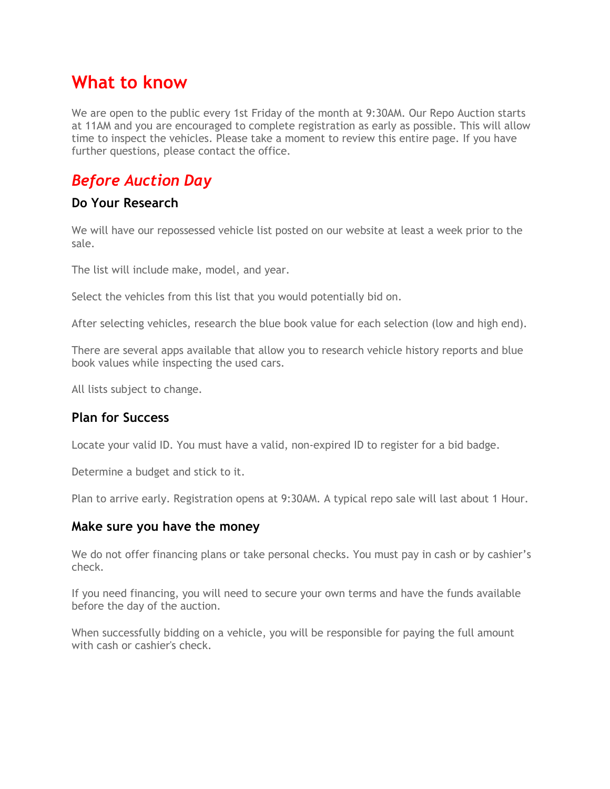# **What to know**

We are open to the public every 1st Friday of the month at 9:30AM. Our Repo Auction starts at 11AM and you are encouraged to complete registration as early as possible. This will allow time to inspect the vehicles. Please take a moment to review this entire page. If you have further questions, please contact the office.

### *Before Auction Day*

#### **Do Your Research**

We will have our repossessed vehicle list posted on our website at least a week prior to the sale.

The list will include make, model, and year.

Select the vehicles from this list that you would potentially bid on.

After selecting vehicles, research the blue book value for each selection (low and high end).

There are several apps available that allow you to research vehicle history reports and blue book values while inspecting the used cars.

All lists subject to change.

#### **Plan for Success**

Locate your valid ID. You must have a valid, non-expired ID to register for a bid badge.

Determine a budget and stick to it.

Plan to arrive early. Registration opens at 9:30AM. A typical repo sale will last about 1 Hour.

#### **Make sure you have the money**

We do not offer financing plans or take personal checks. You must pay in cash or by cashier's check.

If you need financing, you will need to secure your own terms and have the funds available before the day of the auction.

When successfully bidding on a vehicle, you will be responsible for paying the full amount with cash or cashier's check.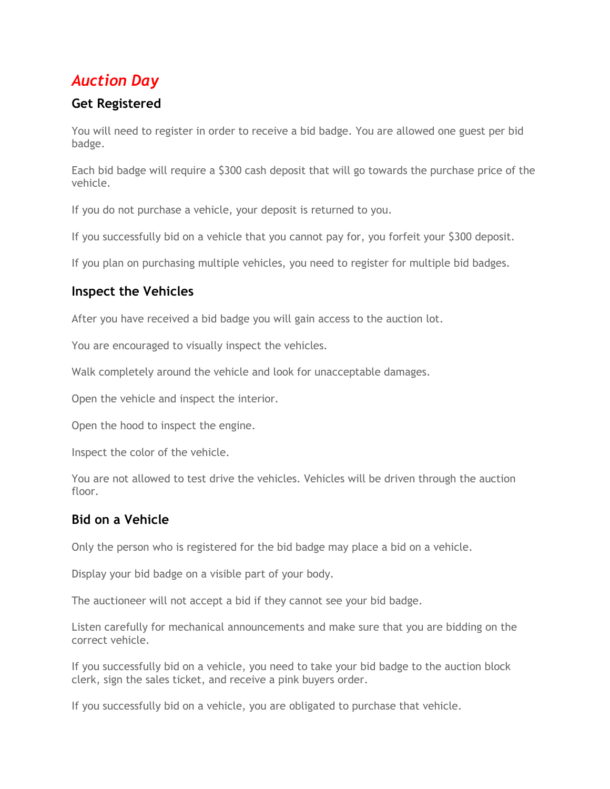## *Auction Day*

### **Get Registered**

You will need to register in order to receive a bid badge. You are allowed one guest per bid badge.

Each bid badge will require a \$300 cash deposit that will go towards the purchase price of the vehicle.

If you do not purchase a vehicle, your deposit is returned to you.

If you successfully bid on a vehicle that you cannot pay for, you forfeit your \$300 deposit.

If you plan on purchasing multiple vehicles, you need to register for multiple bid badges.

### **Inspect the Vehicles**

After you have received a bid badge you will gain access to the auction lot.

You are encouraged to visually inspect the vehicles.

Walk completely around the vehicle and look for unacceptable damages.

Open the vehicle and inspect the interior.

Open the hood to inspect the engine.

Inspect the color of the vehicle.

You are not allowed to test drive the vehicles. Vehicles will be driven through the auction floor

### **Bid on a Vehicle**

Only the person who is registered for the bid badge may place a bid on a vehicle.

Display your bid badge on a visible part of your body.

The auctioneer will not accept a bid if they cannot see your bid badge.

Listen carefully for mechanical announcements and make sure that you are bidding on the correct vehicle.

If you successfully bid on a vehicle, you need to take your bid badge to the auction block clerk, sign the sales ticket, and receive a pink buyers order.

If you successfully bid on a vehicle, you are obligated to purchase that vehicle.